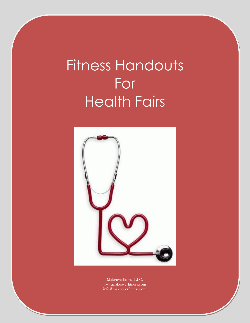## Fitness Handouts For Health Fairs



Makeoverfitness LLC. www.makeoverfitness.com info@makeoverfitness.com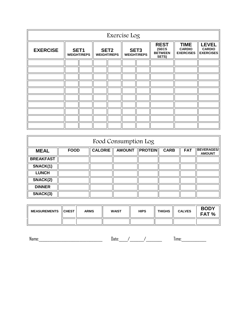| Exercise Log    |  |                            |  |                                        |                                        |  |                                                 |                                                  |                                                   |
|-----------------|--|----------------------------|--|----------------------------------------|----------------------------------------|--|-------------------------------------------------|--------------------------------------------------|---------------------------------------------------|
| <b>EXERCISE</b> |  | SET1<br><b>WEIGHT/REPS</b> |  | SET <sub>2</sub><br><b>WEIGHT/REPS</b> | SET <sub>3</sub><br><b>WEIGHT/REPS</b> |  | <b>REST</b><br>(SECS<br><b>BETWEEN</b><br>SETS) | <b>TIME</b><br><b>CARDIO</b><br><b>EXERCISES</b> | <b>LEVEL</b><br><b>CARDIO</b><br><b>EXERCISES</b> |
|                 |  |                            |  |                                        |                                        |  |                                                 |                                                  |                                                   |
|                 |  |                            |  |                                        |                                        |  |                                                 |                                                  |                                                   |
|                 |  |                            |  |                                        |                                        |  |                                                 |                                                  |                                                   |
|                 |  |                            |  |                                        |                                        |  |                                                 |                                                  |                                                   |
|                 |  |                            |  |                                        |                                        |  |                                                 |                                                  |                                                   |
|                 |  |                            |  |                                        |                                        |  |                                                 |                                                  |                                                   |
|                 |  |                            |  |                                        |                                        |  |                                                 |                                                  |                                                   |
|                 |  |                            |  |                                        |                                        |  |                                                 |                                                  |                                                   |
|                 |  |                            |  |                                        |                                        |  |                                                 |                                                  |                                                   |
|                 |  |                            |  |                                        |                                        |  |                                                 |                                                  |                                                   |

| Food Consumption Log |             |                |               |                |             |            |                                    |  |
|----------------------|-------------|----------------|---------------|----------------|-------------|------------|------------------------------------|--|
| <b>MEAL</b>          | <b>FOOD</b> | <b>CALORIE</b> | <b>AMOUNT</b> | <b>PROTEIN</b> | <b>CARB</b> | <b>FAT</b> | <b>BEVERAGES/</b><br><b>AMOUNT</b> |  |
| <b>BREAKFAST</b>     |             |                |               |                |             |            |                                    |  |
| SNACK(1)             |             |                |               |                |             |            |                                    |  |
| <b>LUNCH</b>         |             |                |               |                |             |            |                                    |  |
| SNACK(2)             |             |                |               |                |             |            |                                    |  |
| <b>DINNER</b>        |             |                |               |                |             |            |                                    |  |
| SNACK(3)             |             |                |               |                |             |            |                                    |  |

| <b>MEASUREMENTS</b> | <b>ICHEST</b> | <b>ARMS</b> | <b>WAIST</b> | <b>HIPS</b> | <b>THIGHS</b> | <b>CALVES</b> | <b>BODY</b><br>FAT % |
|---------------------|---------------|-------------|--------------|-------------|---------------|---------------|----------------------|
|                     |               |             |              |             |               |               |                      |

Name:\_\_\_\_\_\_\_\_\_\_\_\_\_\_\_\_\_\_\_\_\_\_\_\_\_\_\_\_\_\_\_\_\_\_\_\_ Date:\_\_\_\_\_/\_\_\_\_\_\_\_\_/\_\_\_\_\_\_\_\_\_ Time:\_\_\_\_\_\_\_\_\_\_\_\_\_\_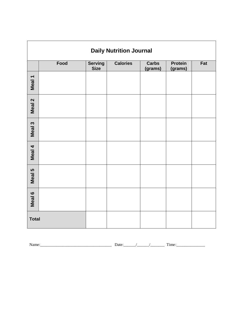| <b>Daily Nutrition Journal</b> |      |                               |                 |                         |                           |     |  |  |
|--------------------------------|------|-------------------------------|-----------------|-------------------------|---------------------------|-----|--|--|
|                                | Food | <b>Serving</b><br><b>Size</b> | <b>Calories</b> | <b>Carbs</b><br>(grams) | <b>Protein</b><br>(grams) | Fat |  |  |
| Meal 1                         |      |                               |                 |                         |                           |     |  |  |
| Meal 2                         |      |                               |                 |                         |                           |     |  |  |
| Meal 3                         |      |                               |                 |                         |                           |     |  |  |
| Meal 4                         |      |                               |                 |                         |                           |     |  |  |
| Meal 5                         |      |                               |                 |                         |                           |     |  |  |
| Meal 6                         |      |                               |                 |                         |                           |     |  |  |
| <b>Total</b>                   |      |                               |                 |                         |                           |     |  |  |

Name:\_\_\_\_\_\_\_\_\_\_\_\_\_\_\_\_\_\_\_\_\_\_\_\_\_\_\_\_\_\_\_\_\_\_\_ Date:\_\_\_\_\_\_/\_\_\_\_\_\_/\_\_\_\_\_\_\_ Time:\_\_\_\_\_\_\_\_\_\_\_\_\_\_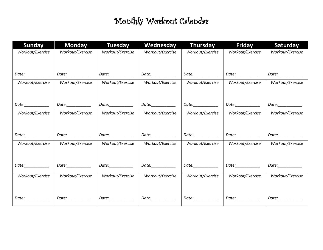## Monthly Workout Calendar

| <b>Sunday</b>      | <b>Monday</b>     | <b>Tuesday</b>    | Wednesday          | <b>Thursday</b>   | <b>Friday</b>     | <b>Saturday</b>                                                                                           |
|--------------------|-------------------|-------------------|--------------------|-------------------|-------------------|-----------------------------------------------------------------------------------------------------------|
| Workout/Exercise   | Workout/Exercise  | Workout/Exercise  | Workout/Exercise   | Workout/Exercise  | Workout/Exercise  | Workout/Exercise                                                                                          |
|                    |                   |                   |                    |                   |                   |                                                                                                           |
| Date:___________   | Date:___________  | Date:___________  | Date:_____________ | Date:____________ | Date:___________  | Date:___________                                                                                          |
| Workout/Exercise   | Workout/Exercise  | Workout/Exercise  | Workout/Exercise   | Workout/Exercise  | Workout/Exercise  | Workout/Exercise                                                                                          |
|                    |                   |                   |                    |                   |                   |                                                                                                           |
| Date:___________   | Date:____________ | Date:___________  | Date:____________  | Date:____________ | Date:___________  | Date:___________                                                                                          |
| Workout/Exercise   | Workout/Exercise  | Workout/Exercise  | Workout/Exercise   | Workout/Exercise  | Workout/Exercise  | Workout/Exercise                                                                                          |
|                    |                   |                   |                    |                   |                   |                                                                                                           |
| Date:___________   | Date:___________  | Date:___________  | Date:____________  | Date:___________  | Date:____________ | Date:___________                                                                                          |
| Workout/Exercise   | Workout/Exercise  | Workout/Exercise  | Workout/Exercise   | Workout/Exercise  | Workout/Exercise  | Workout/Exercise                                                                                          |
|                    |                   |                   |                    |                   |                   |                                                                                                           |
| Date:___________   | Date:___________  | Date:___________  | Date:___________   | Date:___________  | Date:____________ |                                                                                                           |
| Workout/Exercise   | Workout/Exercise  | Workout/Exercise  | Workout/Exercise   | Workout/Exercise  | Workout/Exercise  | Workout/Exercise                                                                                          |
|                    |                   |                   |                    |                   |                   |                                                                                                           |
|                    |                   |                   |                    |                   |                   |                                                                                                           |
| Date: <b>Date:</b> | Date:___________  | Date:____________ | Date:____________  | Date:__________   | Date:___________  | Date: <u>Date: Date: Date: Date: Date: Date: Date: Date: Date: Date: Date: Date: Date: Date: Date: Da</u> |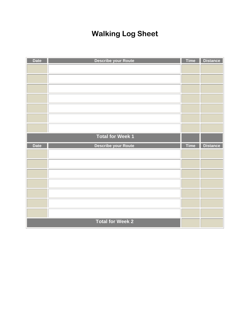## **Walking Log Sheet**

| <b>Date</b> | <b>Describe your Route</b> | <b>Time</b> | <b>Distance</b> |
|-------------|----------------------------|-------------|-----------------|
|             |                            |             |                 |
|             |                            |             |                 |
|             |                            |             |                 |
|             |                            |             |                 |
|             |                            |             |                 |
|             |                            |             |                 |
|             |                            |             |                 |
|             | <b>Total for Week 1</b>    |             |                 |
|             |                            |             |                 |
| <b>Date</b> | <b>Describe your Route</b> | <b>Time</b> | <b>Distance</b> |
|             |                            |             |                 |
|             |                            |             |                 |
|             |                            |             |                 |
|             |                            |             |                 |
|             |                            |             |                 |
|             |                            |             |                 |
|             |                            |             |                 |